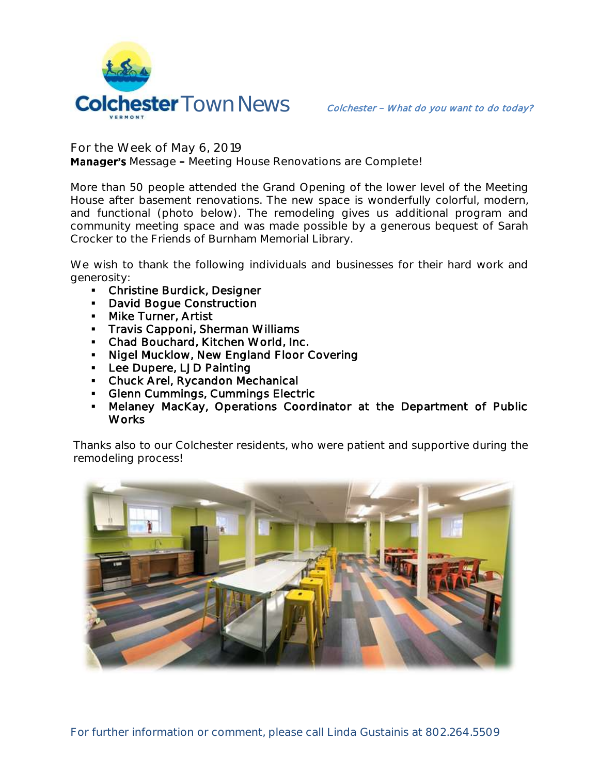

**For the Week of May 6, 2019**

**Manager's** Message - Meeting House Renovations are Complete!

More than 50 people attended the Grand Opening of the lower level of the Meeting House after basement renovations. The new space is wonderfully colorful, modern, and functional (photo below). The remodeling gives us additional program and community meeting space and was made possible by a generous bequest of Sarah Crocker to the Friends of Burnham Memorial Library.

We wish to thank the following individuals and businesses for their hard work and generosity:

- **-** Christine Burdick, Designer
- **David Boque Construction**
- **Mike Turner, Artist**
- Travis Capponi, Sherman Williams
- Chad Bouchard, Kitchen World, Inc.
- Nigel Mucklow, New England Floor Covering
- Lee Dupere, LJD Painting
- Chuck Arel, Rycandon Mechanical
- **Glenn Cummings, Cummings Electric**
- Melaney MacKay, Operations Coordinator at the Department of Public **Works**

Thanks also to our Colchester residents, who were patient and supportive during the remodeling process!

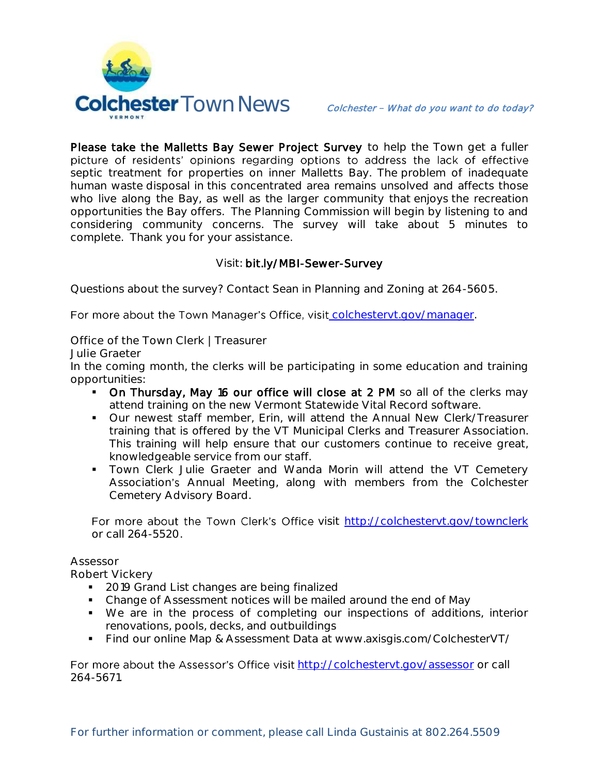

Please take the Malletts Bay Sewer Project Survey to help the Town get a fuller picture of residents' opinions regarding options to address the lack of effective septic treatment for properties on inner Malletts Bay. The problem of inadequate human waste disposal in this concentrated area remains unsolved and affects those who live along the Bay, as well as the larger community that enjoys the recreation opportunities the Bay offers. The Planning Commission will begin by listening to and considering community concerns. The survey will take about 5 minutes to complete. Thank you for your assistance.

## Visit: bit.ly/MBI-Sewer-Survey

Questions about the survey? Contact Sean in Planning and Zoning at 264-5605.

For more about the Town Manager's Office, visit colchesteryt.gov/manager.

**Office of the Town Clerk | Treasurer**

**Julie Graeter**

In the coming month, the clerks will be participating in some education and training opportunities:

- On Thursday, May 16 our office will close at 2 PM so all of the clerks may attend training on the new Vermont Statewide Vital Record software.
- Our newest staff member, Erin, will attend the Annual New Clerk/Treasurer training that is offered by the VT Municipal Clerks and Treasurer Association. This training will help ensure that our customers continue to receive great, knowledgeable service from our staff.
- Town Clerk Julie Graeter and Wanda Morin will attend the VT Cemetery Association's Annual Meeting, along with members from the Colchester Cemetery Advisory Board.

For more about the Town Clerk's Office visit <http://colchestervt.gov/townclerk> or call 264-5520.

## **Assessor**

**Robert Vickery**

- 2019 Grand List changes are being finalized
- Change of Assessment notices will be mailed around the end of May
- We are in the process of completing our inspections of additions, interior renovations, pools, decks, and outbuildings
- Find our online Map & Assessment Data at www.axisgis.com/ColchesterVT/

For more about the Assessor's Office visit <http://colchestervt.gov/assessor> or call 264-5671.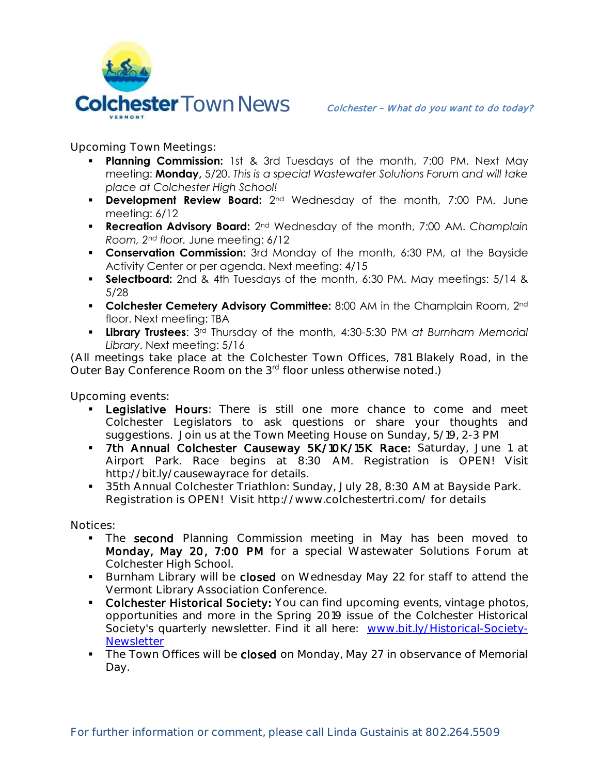

**Upcoming Town Meetings:** 

- **Planning Commission:** 1st & 3rd Tuesdays of the month, 7:00 PM. Next May meeting: **Monday,** 5/20. *This is a special Wastewater Solutions Forum and will take place at Colchester High School!*
- **Development Review Board:** 2<sup>nd</sup> Wednesday of the month, 7:00 PM. June meeting: 6/12
- **Recreation Advisory Board:** 2nd Wednesday of the month, 7:00 AM. *Champlain Room, 2nd floor.* June meeting: 6/12
- **Conservation Commission:** 3rd Monday of the month, 6:30 PM, at the Bayside Activity Center or per agenda. Next meeting: 4/15
- **Selectboard:** 2nd & 4th Tuesdays of the month, 6:30 PM. May meetings: 5/14 & 5/28
- **Colchester Cemetery Advisory Committee:** 8:00 AM in the Champlain Room, 2<sup>nd</sup> floor. Next meeting: TBA
- **Library Trustees**: 3rd Thursday of the month, 4:30-5:30 PM *at Burnham Memorial Library*. Next meeting: 5/16

(All meetings take place at the Colchester Town Offices, 781 Blakely Road, in the Outer Bay Conference Room on the 3<sup>rd</sup> floor unless otherwise noted.)

**Upcoming events:** 

- **Legislative Hours**: There is still one more chance to come and meet Colchester Legislators to ask questions or share your thoughts and suggestions. Join us at the Town Meeting House on Sunday, 5/19, 2-3 PM
- 7th Annual Colchester Causeway 5K/10K/15K Race: Saturday, June 1 at Airport Park. Race begins at 8:30 AM. Registration is OPEN! Visit http://bit.ly/causewayrace for details.
- **35th Annual Colchester Triathlon: Sunday, July 28, 8:30 AM at Bayside Park. Registration is OPEN! Visit http://www.colchestertri.com/ for details**

**Notices:**

- The second Planning Commission meeting in May has been moved to Monday, May 20, 7:00 PM for a special Wastewater Solutions Forum at Colchester High School.
- Burnham Library will be closed on Wednesday May 22 for staff to attend the Vermont Library Association Conference.
- Colchester Historical Society: You can find upcoming events, vintage photos, opportunities and more in the Spring 2019 issue of the Colchester Historical Society's quarterly newsletter. Find it all here: [www.bit.ly/Historical-Society-](http://www.bit.ly/Historical-Society-Newsletter)**[Newsletter](http://www.bit.ly/Historical-Society-Newsletter)**
- The Town Offices will be closed on Monday, May 27 in observance of Memorial Day.